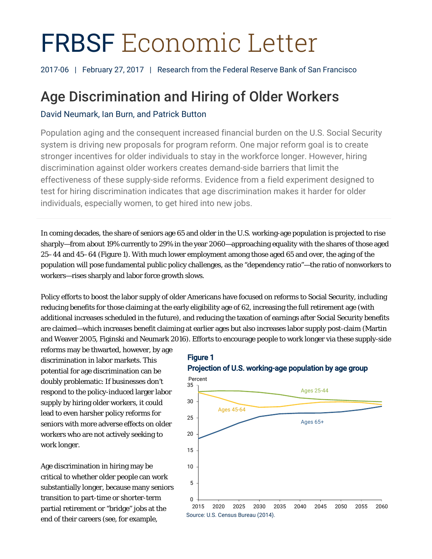# FRBSF Economic Letter

2017-06 | February 27, 2017 | Research from the Federal Reserve Bank of San Francisco

# Age Discrimination and Hiring of Older Workers

# David Neumark, Ian Burn, and Patrick Button

Population aging and the consequent increased financial burden on the U.S. Social Security system is driving new proposals for program reform. One major reform goal is to create stronger incentives for older individuals to stay in the workforce longer. However, hiring discrimination against older workers creates demand-side barriers that limit the effectiveness of these supply-side reforms. Evidence from a field experiment designed to test for hiring discrimination indicates that age discrimination makes it harder for older individuals, especially women, to get hired into new jobs.

In coming decades, the share of seniors age 65 and older in the U.S. working-age population is projected to rise sharply—from about 19% currently to 29% in the year 2060—approaching equality with the shares of those aged 25–44 and 45–64 (Figure 1). With much lower employment among those aged 65 and over, the aging of the population will pose fundamental public policy challenges, as the "dependency ratio"—the ratio of nonworkers to workers—rises sharply and labor force growth slows.

Policy efforts to boost the labor supply of older Americans have focused on reforms to Social Security, including reducing benefits for those claiming at the early eligibility age of 62, increasing the full retirement age (with additional increases scheduled in the future), and reducing the taxation of earnings after Social Security benefits are claimed—which increases benefit claiming at earlier ages but also increases labor supply post-claim (Martin and Weaver 2005, Figinski and Neumark 2016). Efforts to encourage people to work longer via these supply-side

reforms may be thwarted, however, by age discrimination in labor markets. This potential for age discrimination can be doubly problematic: If businesses don't respond to the policy-induced larger labor supply by hiring older workers, it could lead to even harsher policy reforms for seniors with more adverse effects on older workers who are not actively seeking to work longer.

Age discrimination in hiring may be critical to whether older people can work substantially longer, because many seniors transition to part-time or shorter-term partial retirement or "bridge" jobs at the end of their careers (see, for example,



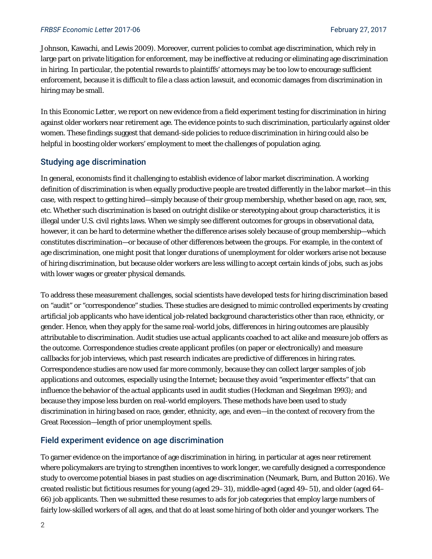#### **FRBSF Economic Letter 2017-06** February 27, 2017

Johnson, Kawachi, and Lewis 2009). Moreover, current policies to combat age discrimination, which rely in large part on private litigation for enforcement, may be ineffective at reducing or eliminating age discrimination in hiring. In particular, the potential rewards to plaintiffs' attorneys may be too low to encourage sufficient enforcement, because it is difficult to file a class action lawsuit, and economic damages from discrimination in hiring may be small.

In this *Economic Letter*, we report on new evidence from a field experiment testing for discrimination in hiring against older workers near retirement age. The evidence points to such discrimination, particularly against older women. These findings suggest that demand-side policies to reduce discrimination in hiring could also be helpful in boosting older workers' employment to meet the challenges of population aging.

# Studying age discrimination

In general, economists find it challenging to establish evidence of labor market discrimination. A working definition of discrimination is when equally productive people are treated differently in the labor market—in this case, with respect to getting hired—simply because of their group membership, whether based on age, race, sex, etc. Whether such discrimination is based on outright dislike or stereotyping about group characteristics, it is illegal under U.S. civil rights laws. When we simply see different outcomes for groups in observational data, however, it can be hard to determine whether the difference arises solely because of group membership—which constitutes discrimination—or because of other differences between the groups. For example, in the context of age discrimination, one might posit that longer durations of unemployment for older workers arise not because of hiring discrimination, but because older workers are less willing to accept certain kinds of jobs, such as jobs with lower wages or greater physical demands.

To address these measurement challenges, social scientists have developed tests for hiring discrimination based on "audit" or "correspondence" studies. These studies are designed to mimic controlled experiments by creating artificial job applicants who have identical job-related background characteristics other than race, ethnicity, or gender. Hence, when they apply for the same real-world jobs, differences in hiring outcomes are plausibly attributable to discrimination. Audit studies use actual applicants coached to act alike and measure job offers as the outcome. Correspondence studies create applicant profiles (on paper or electronically) and measure callbacks for job interviews, which past research indicates are predictive of differences in hiring rates. Correspondence studies are now used far more commonly, because they can collect larger samples of job applications and outcomes, especially using the Internet; because they avoid "experimenter effects" that can influence the behavior of the actual applicants used in audit studies (Heckman and Siegelman 1993); and because they impose less burden on real-world employers. These methods have been used to study discrimination in hiring based on race, gender, ethnicity, age, and even—in the context of recovery from the Great Recession—length of prior unemployment spells.

# Field experiment evidence on age discrimination

To garner evidence on the importance of age discrimination in hiring, in particular at ages near retirement where policymakers are trying to strengthen incentives to work longer, we carefully designed a correspondence study to overcome potential biases in past studies on age discrimination (Neumark, Burn, and Button 2016). We created realistic but fictitious resumes for young (aged 29–31), middle-aged (aged 49–51), and older (aged 64– 66) job applicants. Then we submitted these resumes to ads for job categories that employ large numbers of fairly low-skilled workers of all ages, and that do at least some hiring of both older and younger workers. The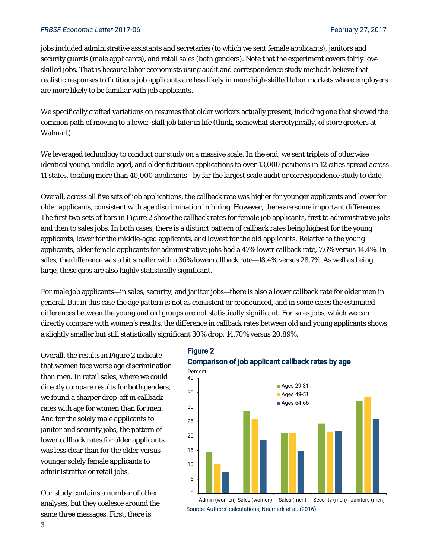#### *FRBSF Economic Letter* 2017-06 February 27, 2017

jobs included administrative assistants and secretaries (to which we sent female applicants), janitors and security guards (male applicants), and retail sales (both genders). Note that the experiment covers fairly lowskilled jobs. That is because labor economists using audit and correspondence study methods believe that realistic responses to fictitious job applicants are less likely in more high-skilled labor markets where employers are more likely to be familiar with job applicants.

We specifically crafted variations on resumes that older workers actually present, including one that showed the common path of moving to a lower-skill job later in life (think, somewhat stereotypically, of store greeters at Walmart).

We leveraged technology to conduct our study on a massive scale. In the end, we sent triplets of otherwise identical young, middle-aged, and older fictitious applications to over 13,000 positions in 12 cities spread across 11 states, totaling more than 40,000 applicants—by far the largest scale audit or correspondence study to date.

Overall, across all five sets of job applications, the callback rate was higher for younger applicants and lower for older applicants, consistent with age discrimination in hiring. However, there are some important differences. The first two sets of bars in Figure 2 show the callback rates for female job applicants, first to administrative jobs and then to sales jobs. In both cases, there is a distinct pattern of callback rates being highest for the young applicants, lower for the middle-aged applicants, and lowest for the old applicants. Relative to the young applicants, older female applicants for administrative jobs had a 47% lower callback rate, 7.6% versus 14.4%. In sales, the difference was a bit smaller with a 36% lower callback rate—18.4% versus 28.7%. As well as being large, these gaps are also highly statistically significant.

For male job applicants—in sales, security, and janitor jobs—there is also a lower callback rate for older men in general. But in this case the age pattern is not as consistent or pronounced, and in some cases the estimated differences between the young and old groups are not statistically significant. For sales jobs, which we can directly compare with women's results, the difference in callback rates between old and young applicants shows a slightly smaller but still statistically significant 30% drop, 14.70% versus 20.89%.

Overall, the results in Figure 2 indicate that women face worse age discrimination than men. In retail sales, where we could directly compare results for both genders, we found a sharper drop-off in callback rates with age for women than for men. And for the solely male applicants to janitor and security jobs, the pattern of lower callback rates for older applicants was less clear than for the older versus younger solely female applicants to administrative or retail jobs.

Our study contains a number of other analyses, but they coalesce around the same three messages. First, there is

# Figure 2 Comparison of job applicant callback rates by age



Source: Authors' calculations, Neumark et al. (2016). Admin (women) Sales (women) Sales (men) Security (men) Janitors (men)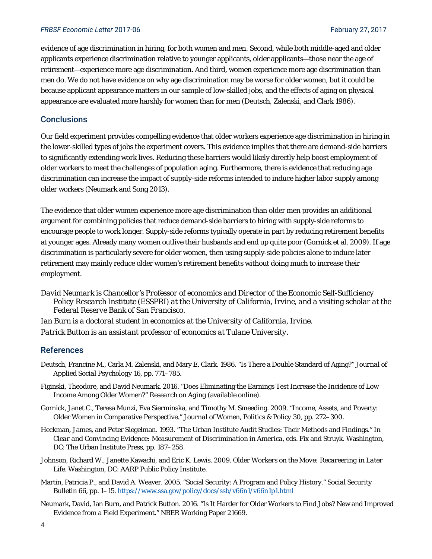#### **FRBSF Economic Letter 2017-06** February 27, 2017

evidence of age discrimination in hiring, for both women and men. Second, while both middle-aged and older applicants experience discrimination relative to younger applicants, older applicants—those near the age of retirement—experience more age discrimination. And third, women experience more age discrimination than men do. We do not have evidence on why age discrimination may be worse for older women, but it could be because applicant appearance matters in our sample of low-skilled jobs, and the effects of aging on physical appearance are evaluated more harshly for women than for men (Deutsch, Zalenski, and Clark 1986).

### **Conclusions**

Our field experiment provides compelling evidence that older workers experience age discrimination in hiring in the lower-skilled types of jobs the experiment covers. This evidence implies that there are demand-side barriers to significantly extending work lives. Reducing these barriers would likely directly help boost employment of older workers to meet the challenges of population aging. Furthermore, there is evidence that reducing age discrimination can increase the impact of supply-side reforms intended to induce higher labor supply among older workers (Neumark and Song 2013).

The evidence that older women experience more age discrimination than older men provides an additional argument for combining policies that reduce demand-side barriers to hiring with supply-side reforms to encourage people to work longer. Supply-side reforms typically operate in part by reducing retirement benefits at younger ages. Already many women outlive their husbands and end up quite poor (Gornick et al. 2009). If age discrimination is particularly severe for older women, then using supply-side policies alone to induce later retirement may mainly reduce older women's retirement benefits without doing much to increase their employment.

*David Neumark is Chancellor's Professor of economics and Director of the Economic Self-Sufficiency Policy Research Institute (ESSPRI) at the University of California, Irvine, and a visiting scholar at the Federal Reserve Bank of San Francisco.* 

*Ian Burn is a doctoral student in economics at the University of California, Irvine. Patrick Button is an assistant professor of economics at Tulane University.* 

#### References

- Deutsch, Francine M., Carla M. Zalenski, and Mary E. Clark. 1986. "Is There a Double Standard of Aging?" *Journal of Applied Social Psychology* 16, pp. 771–785.
- Figinski, Theodore, and David Neumark. 2016. "Does Eliminating the Earnings Test Increase the Incidence of Low Income Among Older Women?" *Research on Aging* (available online).
- Gornick, Janet C., Teresa Munzi, Eva Sierminska, and Timothy M. Smeeding. 2009. "Income, Assets, and Poverty: Older Women in Comparative Perspective." *Journal of Women, Politics & Policy* 30, pp. 272–300.
- Heckman, James, and Peter Siegelman. 1993. "The Urban Institute Audit Studies: Their Methods and Findings." In *Clear and Convincing Evidence: Measurement of Discrimination in America*, eds. Fix and Struyk. Washington, DC: The Urban Institute Press, pp. 187–258.
- Johnson, Richard W., Janette Kawachi, and Eric K. Lewis. 2009. *Older Workers on the Move: Recareering in Later Life*. Washington, DC: AARP Public Policy Institute.
- Martin, Patricia P., and David A. Weaver. 2005. "Social Security: A Program and Policy History." *Social Security Bulletin* 66, pp. 1–15. https://www.ssa.gov/policy/docs/ssb/v66n1/v66n1p1.html
- Neumark, David, Ian Burn, and Patrick Button. 2016. "Is It Harder for Older Workers to Find Jobs? New and Improved Evidence from a Field Experiment." NBER Working Paper 21669.